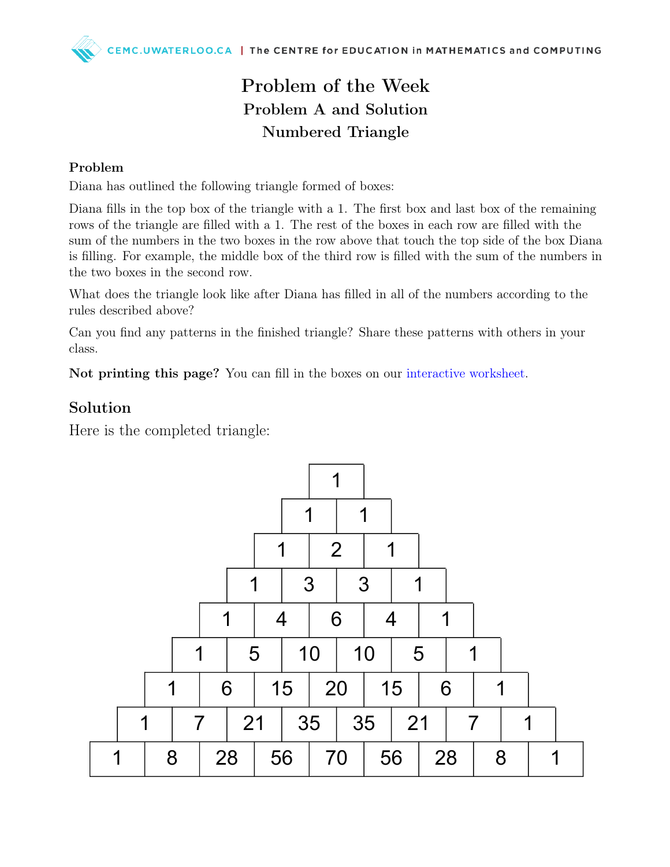## Problem of the Week Problem A and Solution Numbered Triangle

#### Problem

Diana has outlined the following triangle formed of boxes:

Diana fills in the top box of the triangle with a 1. The first box and last box of the remaining rows of the triangle are filled with a 1. The rest of the boxes in each row are filled with the sum of the numbers in the two boxes in the row above that touch the top side of the box Diana is filling. For example, the middle box of the third row is filled with the sum of the numbers in the two boxes in the second row.

What does the triangle look like after Diana has filled in all of the numbers according to the rules described above?

Can you find any patterns in the finished triangle? Share these patterns with others in your class.

Not printing this page? You can fill in the boxes on our [interactive worksheet.](https://www.geogebra.org/m/cedqqmrf)

#### Solution

Here is the completed triangle: